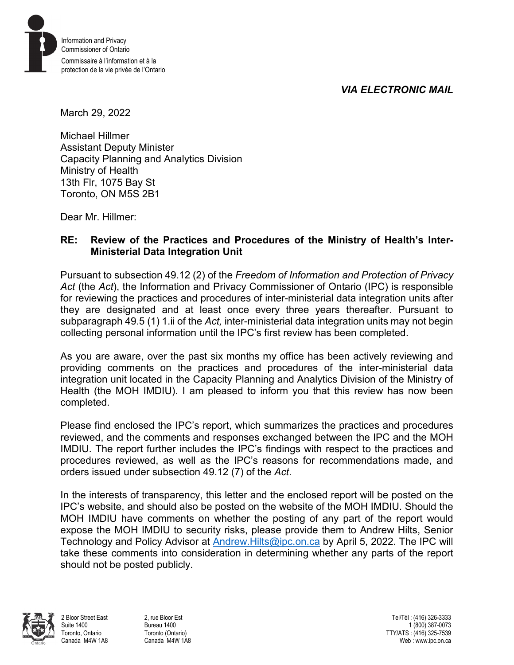*VIA ELECTRONIC MAIL* 



March 29, 2022

Michael Hillmer Assistant Deputy Minister Capacity Planning and Analytics Division Ministry of Health 13th Flr, 1075 Bay St Toronto, ON M5S 2B1

Dear Mr. Hillmer:

## **RE: Review of the Practices and Procedures of the Ministry of Health's Inter-Ministerial Data Integration Unit**

Pursuant to subsection 49.12 (2) of the *Freedom of Information and Protection of Privacy Act* (the *Act*), the Information and Privacy Commissioner of Ontario (IPC) is responsible for reviewing the practices and procedures of inter-ministerial data integration units after they are designated and at least once every three years thereafter. Pursuant to subparagraph 49.5 (1) 1.ii of the *Act,* inter-ministerial data integration units may not begin collecting personal information until the IPC's first review has been completed.

As you are aware, over the past six months my office has been actively reviewing and providing comments on the practices and procedures of the inter-ministerial data integration unit located in the Capacity Planning and Analytics Division of the Ministry of Health (the MOH IMDIU). I am pleased to inform you that this review has now been completed.

Please find enclosed the IPC's report, which summarizes the practices and procedures reviewed, and the comments and responses exchanged between the IPC and the MOH IMDIU. The report further includes the IPC's findings with respect to the practices and procedures reviewed, as well as the IPC's reasons for recommendations made, and orders issued under subsection 49.12 (7) of the *Act*.

In the interests of transparency, this letter and the enclosed report will be posted on the IPC's website, and should also be posted on the website of the MOH IMDIU. Should the MOH IMDIU have comments on whether the posting of any part of the report would expose the MOH IMDIU to security risks, please provide them to Andrew Hilts, Senior Technology and Policy Advisor at [Andrew.Hilts@ipc.on.ca](mailto:Andrew.Hilts@ipc.on.ca) by April 5, 2022. The IPC will take these comments into consideration in determining whether any parts of the report should not be posted publicly.